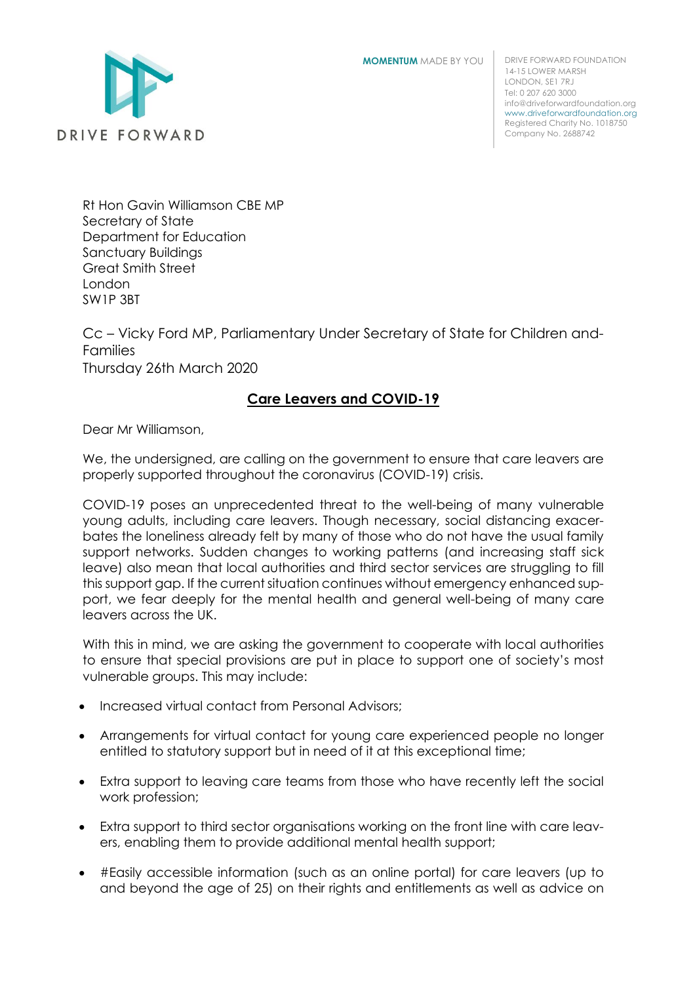**MOMENTUM** MADE BY YOU



DRIVE FORWARD FOUNDATION 14-15 LOWER MARSH LONDON, SE1 7RJ Tel: 0 207 620 3000 info@driveforwardfoundation.org [www.driveforwardfoundation.org](http://www.driveforwardfoundation.com/) Registered Charity No. 1018750 Company No. 2688742

Rt Hon Gavin Williamson CBE MP Secretary of State Department for Education Sanctuary Buildings Great Smith Street London SW1P 3BT

Cc – Vicky Ford MP, Parliamentary Under Secretary of State for Children and-Families Thursday 26th March 2020

## **Care Leavers and COVID-19**

Dear Mr Williamson,

We, the undersigned, are calling on the government to ensure that care leavers are properly supported throughout the coronavirus (COVID-19) crisis.

COVID-19 poses an unprecedented threat to the well-being of many vulnerable young adults, including care leavers. Though necessary, social distancing exacerbates the loneliness already felt by many of those who do not have the usual family support networks. Sudden changes to working patterns (and increasing staff sick leave) also mean that local authorities and third sector services are struggling to fill this support gap. If the current situation continues without emergency enhanced support, we fear deeply for the mental health and general well-being of many care leavers across the UK.

With this in mind, we are asking the government to cooperate with local authorities to ensure that special provisions are put in place to support one of society's most vulnerable groups. This may include:

- Increased virtual contact from Personal Advisors;
- Arrangements for virtual contact for young care experienced people no longer entitled to statutory support but in need of it at this exceptional time;
- Extra support to leaving care teams from those who have recently left the social work profession;
- Extra support to third sector organisations working on the front line with care leavers, enabling them to provide additional mental health support;
- #Easily accessible information (such as an online portal) for care leavers (up to and beyond the age of 25) on their rights and entitlements as well as advice on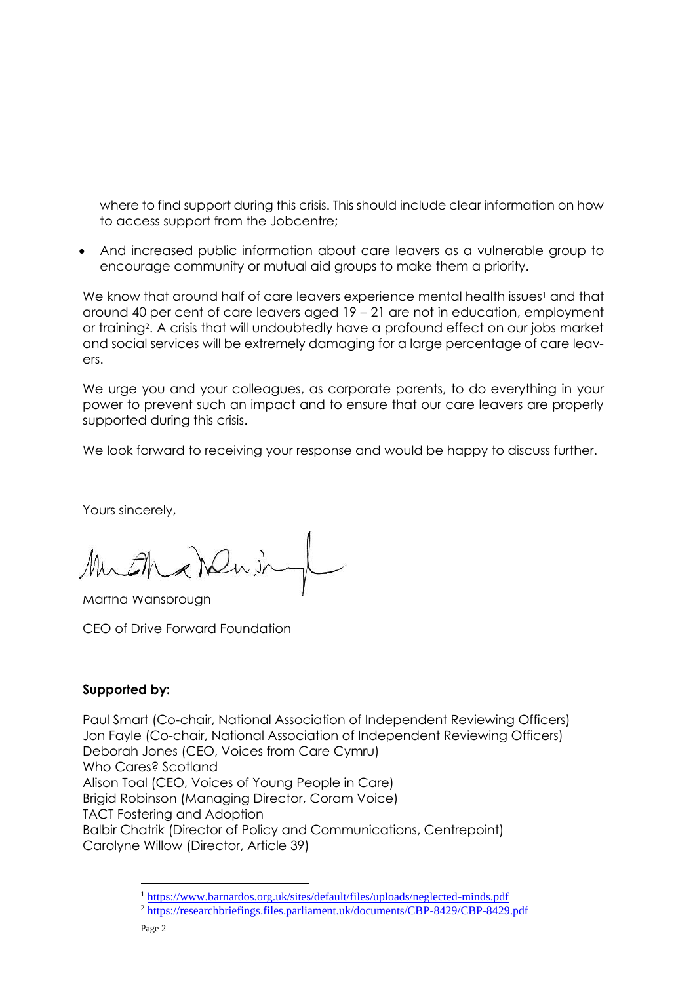where to find support during this crisis. This should include clear information on how to access support from the Jobcentre;

• And increased public information about care leavers as a vulnerable group to encourage community or mutual aid groups to make them a priority.

We know that around half of care leavers experience mental health issues<sup>1</sup> and that around 40 per cent of care leavers aged 19 – 21 are not in education, employment or training2. A crisis that will undoubtedly have a profound effect on our jobs market and social services will be extremely damaging for a large percentage of care leavers.

We urge you and your colleagues, as corporate parents, to do everything in your power to prevent such an impact and to ensure that our care leavers are properly supported during this crisis.

We look forward to receiving your response and would be happy to discuss further.

Yours sincerely,

Much Newith

Martha Wansbrough

CEO of Drive Forward Foundation

## **Supported by:**

Paul Smart (Co-chair, National Association of Independent Reviewing Officers) Jon Fayle (Co-chair, National Association of Independent Reviewing Officers) Deborah Jones (CEO, Voices from Care Cymru) Who Cares? Scotland Alison Toal (CEO, Voices of Young People in Care) Brigid Robinson (Managing Director, Coram Voice) TACT Fostering and Adoption Balbir Chatrik (Director of Policy and Communications, Centrepoint) Carolyne Willow (Director, Article 39)

<sup>1</sup> <https://www.barnardos.org.uk/sites/default/files/uploads/neglected-minds.pdf>

<sup>2</sup> <https://researchbriefings.files.parliament.uk/documents/CBP-8429/CBP-8429.pdf>